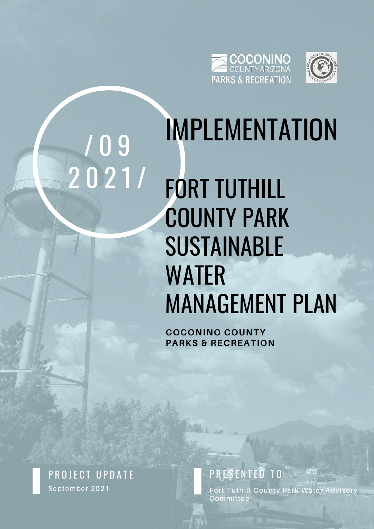



# / 0 9 2 0 2 1 /

## IMPLEMENTATION FORT TUTHILL COUNTY PARK SUSTAINABLE WATER MANAGEMENT PLAN

**C O C O N I N O C O U N T Y PARKS & RECREATION** 

September 2021 PROJECT UPDATE PRESENTED TO

Fort Tuthill County Park Water Advisory Commi t tee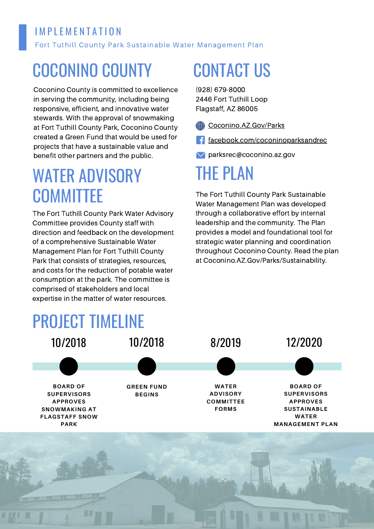#### Fort Tuthill County Park Sustainable Water Management Plan IM PLEMENTATION

#### COCONINO COUNTY

Coconino County is committed to excellence in serving the community, including being responsive, efficient, and innovative water stewards. With the approval of snowmaking at Fort Tuthill County Park, Coconino County created a Green Fund that would be used for projects that have a sustainable value and benefit other partners and the public.

#### WATER ADVISORY **COMMITTEE**

The Fort Tuthill County Park Water Advisory Committee provides County staff with direction and feedback on the development of a comprehensive Sustainable Water Management Plan for Fort Tuthill County Park that consists of strategies, resources, and costs for the reduction of potable water consumption at the park. The committee is comprised of stakeholders and local expertise in the matter of water resources.

### CONTACT US

(928) 679-8000 2446 Fort Tuthill Loop Flagstaff, AZ 86005

[Coconino.AZ.Gov/Parks](https://coconino.az.gov/274/Parks-Recreation)

f [facebook.com/coconinoparksandrec](https://www.facebook.com/coconinoparksandrec)

parksrec@coconino.az.gov

#### THE PLAN

The Fort Tuthill County Park Sustainable Water Management Plan was developed through a collaborative effort by internal leadership and the community. The Plan provides a model and foundational tool for strategic water planning and coordination throughout Coconino County. Read the plan at Coconino.AZ.Gov/Parks/Sustainability.

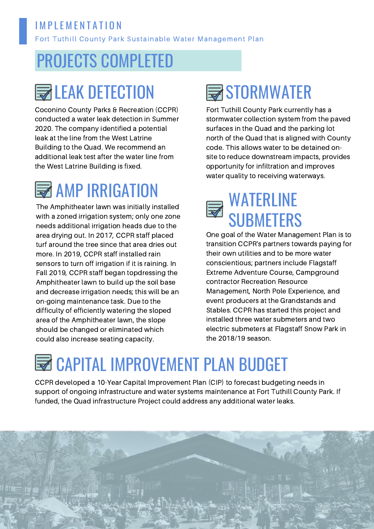#### **IMPLEMENTATION**

Fort Tuthill County Park Sustainable Water Management Plan

#### PROJECTS COMPLETED

#### **ENLEAK DETECTION**

Coconino County Parks & Recreation (CCPR) conducted a water leak detection in Summer 2020. The company identified a potential leak at the line from the West Latrine Building to the Quad. We recommend an additional leak test after the water line from the West Latrine Building is fixed.

#### **WE AMP IRRIGATION**

The Amphitheater lawn was initially installed with a zoned irrigation system; only one zone needs additional irrigation heads due to the area drying out. In 2017, CCPR staff placed turf around the tree since that area dries out more. In 2019, CCPR staff installed rain sensors to turn off irrigation if it is raining. In Fall 2019, CCPR staff began topdressing the Amphitheater lawn to build up the soil base and decrease irrigation needs; this will be an on-going maintenance task. Due to the difficulty of efficiently watering the sloped area of the Amphitheater lawn, the slope should be changed or eliminated which could also increase seating capacity.

#### STORMWATER

Fort Tuthill County Park currently has a stormwater collection system from the paved surfaces in the Quad and the parking lot north of the Quad that is aligned with County code. This allows water to be detained onsite to reduce downstream impacts, provides opportunity for infiltration and improves water quality to receiving waterways.

#### WATERLINE **SUBMETERS**

One goal of the Water Management Plan is to transition CCPR's partners towards paying for their own utilities and to be more water conscientious; partners include Flagstaff Extreme Adventure Course, Campground contractor Recreation Resource Management, North Pole Experience, and event producers at the Grandstands and Stables. CCPR has started this project and installed three water submeters and two electric submeters at Flagstaff Snow Park in the 2018/19 season.

#### **EN CAPITAL IMPROVEMENT PLAN BUDGET**

CCPR developed a 10-Year Capital Improvement Plan (CIP) to forecast budgeting needs in support of ongoing infrastructure and water systems maintenance at Fort Tuthill County Park. If funded, the Quad infrastructure Project could address any additional water leaks.

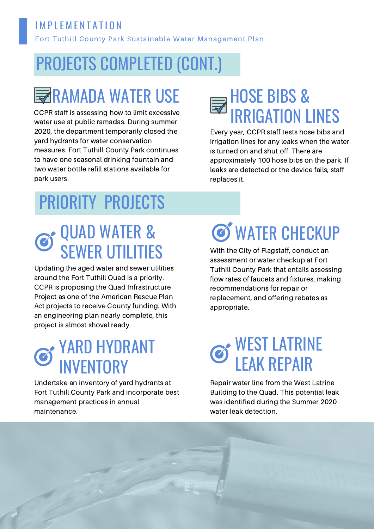#### I M P L E M E N T A T LON

Fort Tuthill County Park Sustainable Water Management Plan

#### PROJECTS COMPLETED (CONT.)

#### **RAMADA WATER USE**

CCPR staff is assessing how to limit excessive water use at public ramadas. During summer 2020, the department temporarily closed the yard hydrants for water conservation measures. Fort Tuthill County Park continues to have one seasonal drinking fountain and two water bottle refill stations available for park users.

# **HOSE BIBS &<br>RRIGATION LINES**

Every year, CCPR staff tests hose bibs and irrigation lines for any leaks when the water is turned on and shut off. There are approximately 100 hose bibs on the park. If leaks are detected or the device fails, staff replaces it.

### PRIORITY PROJECTS

#### QUAD WATER & SEWER UTILITIES

Updating the aged water and sewer utilities around the Fort Tuthill Quad is a priority. CCPR is proposing the Quad Infrastructure Project as one of the American Rescue Plan Act projects to receive County funding. With an engineering plan nearly complete, this project is almost shovel ready.

#### YARD HYDRANT **NVENTORY**

Undertake an inventory of yard hydrants at Fort Tuthill County Park and incorporate best management practices in annual maintenance.

## **S** WATER CHECKUP

With the City of Flagstaff, conduct an assessment or water checkup at Fort Tuthill County Park that entails assessing flow rates of faucets and fixtures, making recommendations for repair or replacement, and offering rebates as appropriate.

#### WEST LATRINE LEAK REPAIR

Repair water line from the West Latrine Building to the Quad. This potential leak was identified during the Summer 2020 water leak detection.